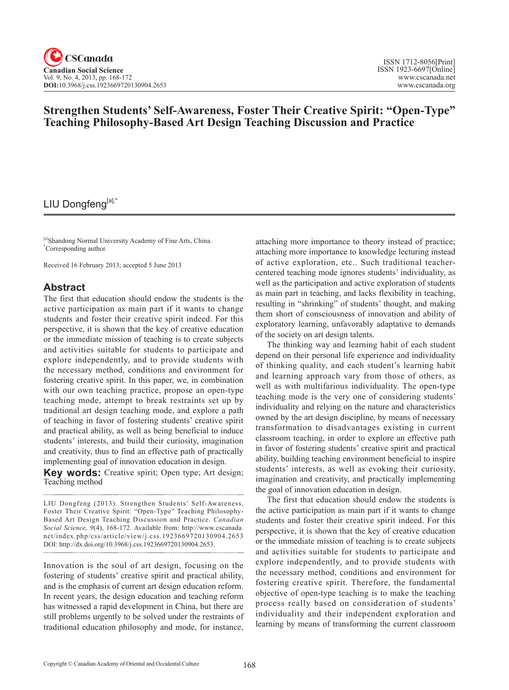## **Strengthen Students' Self-Awareness, Foster Their Creative Spirit: "Open-Type" Teaching Philosophy-Based Art Design Teaching Discussion and Practice**

## LIU Dongfeng[a],\*

[a]Shandong Normal University Academy of Fine Arts, China. \* Corresponding author.

Received 16 February 2013; accepted 5 June 2013

## **Abstract**

The first that education should endow the students is the active participation as main part if it wants to change students and foster their creative spirit indeed. For this perspective, it is shown that the key of creative education or the immediate mission of teaching is to create subjects and activities suitable for students to participate and explore independently, and to provide students with the necessary method, conditions and environment for fostering creative spirit. In this paper, we, in combination with our own teaching practice, propose an open-type teaching mode, attempt to break restraints set up by traditional art design teaching mode, and explore a path of teaching in favor of fostering students' creative spirit and practical ability, as well as being beneficial to induce students' interests, and build their curiosity, imagination and creativity, thus to find an effective path of practically implementing goal of innovation education in design.

**Key words:** Creative spirit; Open type; Art design; Teaching method

LIU Dongfeng (2013). Strengthen Students' Self-Awareness, Foster Their Creative Spirit: "Open-Type" Teaching Philosophy-Based Art Design Teaching Discussion and Practice. *Canadian Social Science*, <sup>9</sup>(4), 168-172. Available from: http://www.cscanada. net/index.php/css/article/view/j.css.1923669720130904.2653 DOI: http://dx.doi.org/10.3968/j.css.1923669720130904.2653.

Innovation is the soul of art design, focusing on the fostering of students' creative spirit and practical ability, and is the emphasis of current art design education reform. In recent years, the design education and teaching reform has witnessed a rapid development in China, but there are still problems urgently to be solved under the restraints of traditional education philosophy and mode, for instance,

attaching more importance to theory instead of practice; attaching more importance to knowledge lecturing instead of active exploration, etc.. Such traditional teachercentered teaching mode ignores students' individuality, as well as the participation and active exploration of students as main part in teaching, and lacks flexibility in teaching, resulting in "shrinking" of students' thought, and making them short of consciousness of innovation and ability of exploratory learning, unfavorably adaptative to demands of the society on art design talents.

The thinking way and learning habit of each student depend on their personal life experience and individuality of thinking quality, and each student's learning habit and learning approach vary from those of others, as well as with multifarious individuality. The open-type teaching mode is the very one of considering students' individuality and relying on the nature and characteristics owned by the art design discipline, by means of necessary transformation to disadvantages existing in current classroom teaching, in order to explore an effective path in favor of fostering students' creative spirit and practical ability, building teaching environment beneficial to inspire students' interests, as well as evoking their curiosity, imagination and creativity, and practically implementing the goal of innovation education in design.

The first that education should endow the students is the active participation as main part if it wants to change students and foster their creative spirit indeed. For this perspective, it is shown that the key of creative education or the immediate mission of teaching is to create subjects and activities suitable for students to participate and explore independently, and to provide students with the necessary method, conditions and environment for fostering creative spirit. Therefore, the fundamental objective of open-type teaching is to make the teaching process really based on consideration of students' individuality and their independent exploration and learning by means of transforming the current classroom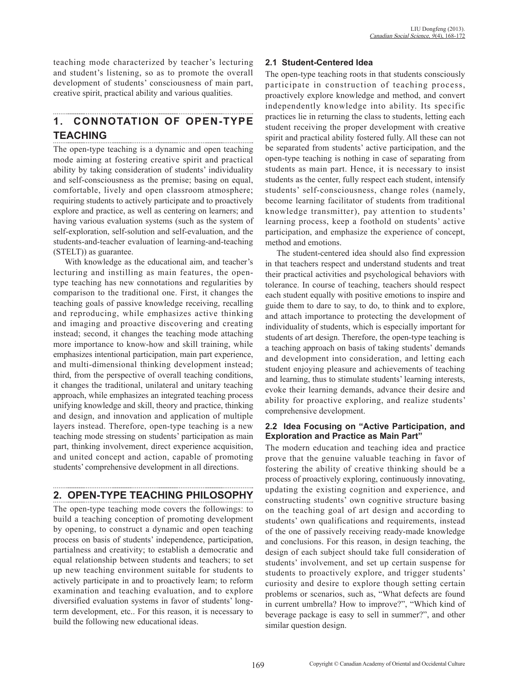teaching mode characterized by teacher's lecturing and student's listening, so as to promote the overall development of students' consciousness of main part, creative spirit, practical ability and various qualities.

# **1. CONNOTATION OF OPEN-TYPE TEACHING**

The open-type teaching is a dynamic and open teaching mode aiming at fostering creative spirit and practical ability by taking consideration of students' individuality and self-consciousness as the premise; basing on equal, comfortable, lively and open classroom atmosphere; requiring students to actively participate and to proactively explore and practice, as well as centering on learners; and having various evaluation systems (such as the system of self-exploration, self-solution and self-evaluation, and the students-and-teacher evaluation of learning-and-teaching (STELT)) as guarantee.

With knowledge as the educational aim, and teacher's lecturing and instilling as main features, the opentype teaching has new connotations and regularities by comparison to the traditional one. First, it changes the teaching goals of passive knowledge receiving, recalling and reproducing, while emphasizes active thinking and imaging and proactive discovering and creating instead; second, it changes the teaching mode attaching more importance to know-how and skill training, while emphasizes intentional participation, main part experience, and multi-dimensional thinking development instead; third, from the perspective of overall teaching conditions, it changes the traditional, unilateral and unitary teaching approach, while emphasizes an integrated teaching process unifying knowledge and skill, theory and practice, thinking and design, and innovation and application of multiple layers instead. Therefore, open-type teaching is a new teaching mode stressing on students' participation as main part, thinking involvement, direct experience acquisition, and united concept and action, capable of promoting students' comprehensive development in all directions.

## **2. OPEN-TYPE TEACHING PHILOSOPHY**

The open-type teaching mode covers the followings: to build a teaching conception of promoting development by opening, to construct a dynamic and open teaching process on basis of students' independence, participation, partialness and creativity; to establish a democratic and equal relationship between students and teachers; to set up new teaching environment suitable for students to actively participate in and to proactively learn; to reform examination and teaching evaluation, and to explore diversified evaluation systems in favor of students' longterm development, etc.. For this reason, it is necessary to build the following new educational ideas.

## **2.1 Student-Centered Idea**

The open-type teaching roots in that students consciously participate in construction of teaching process, proactively explore knowledge and method, and convert independently knowledge into ability. Its specific practices lie in returning the class to students, letting each student receiving the proper development with creative spirit and practical ability fostered fully. All these can not be separated from students' active participation, and the open-type teaching is nothing in case of separating from students as main part. Hence, it is necessary to insist students as the center, fully respect each student, intensify students' self-consciousness, change roles (namely, become learning facilitator of students from traditional knowledge transmitter), pay attention to students' learning process, keep a foothold on students' active participation, and emphasize the experience of concept, method and emotions.

The student-centered idea should also find expression in that teachers respect and understand students and treat their practical activities and psychological behaviors with tolerance. In course of teaching, teachers should respect each student equally with positive emotions to inspire and guide them to dare to say, to do, to think and to explore, and attach importance to protecting the development of individuality of students, which is especially important for students of art design. Therefore, the open-type teaching is a teaching approach on basis of taking students' demands and development into consideration, and letting each student enjoying pleasure and achievements of teaching and learning, thus to stimulate students' learning interests, evoke their learning demands, advance their desire and ability for proactive exploring, and realize students' comprehensive development.

#### **2.2 Idea Focusing on "Active Participation, and Exploration and Practice as Main Part"**

The modern education and teaching idea and practice prove that the genuine valuable teaching in favor of fostering the ability of creative thinking should be a process of proactively exploring, continuously innovating, updating the existing cognition and experience, and constructing students' own cognitive structure basing on the teaching goal of art design and according to students' own qualifications and requirements, instead of the one of passively receiving ready-made knowledge and conclusions. For this reason, in design teaching, the design of each subject should take full consideration of students' involvement, and set up certain suspense for students to proactively explore, and trigger students' curiosity and desire to explore though setting certain problems or scenarios, such as, "What defects are found in current umbrella? How to improve?", "Which kind of beverage package is easy to sell in summer?", and other similar question design.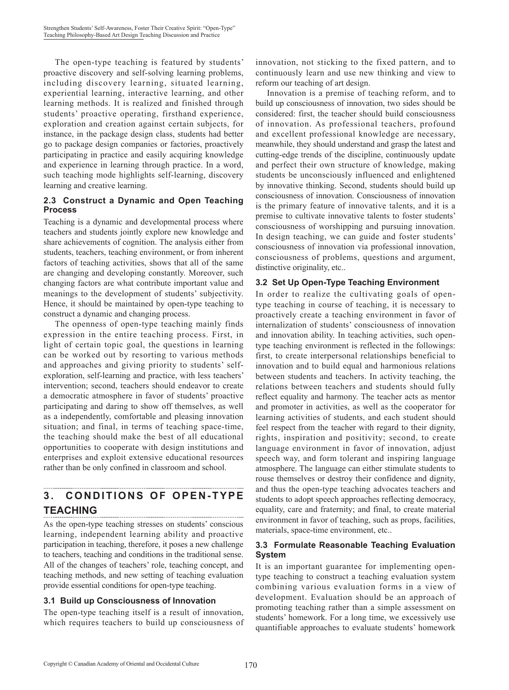The open-type teaching is featured by students' proactive discovery and self-solving learning problems, including discovery learning, situated learning, experiential learning, interactive learning, and other learning methods. It is realized and finished through students' proactive operating, firsthand experience, exploration and creation against certain subjects, for instance, in the package design class, students had better go to package design companies or factories, proactively participating in practice and easily acquiring knowledge and experience in learning through practice. In a word, such teaching mode highlights self-learning, discovery learning and creative learning.

### **2.3 Construct a Dynamic and Open Teaching Process**

Teaching is a dynamic and developmental process where teachers and students jointly explore new knowledge and share achievements of cognition. The analysis either from students, teachers, teaching environment, or from inherent factors of teaching activities, shows that all of the same are changing and developing constantly. Moreover, such changing factors are what contribute important value and meanings to the development of students' subjectivity. Hence, it should be maintained by open-type teaching to construct a dynamic and changing process.

The openness of open-type teaching mainly finds expression in the entire teaching process. First, in light of certain topic goal, the questions in learning can be worked out by resorting to various methods and approaches and giving priority to students' selfexploration, self-learning and practice, with less teachers' intervention; second, teachers should endeavor to create a democratic atmosphere in favor of students' proactive participating and daring to show off themselves, as well as a independently, comfortable and pleasing innovation situation; and final, in terms of teaching space-time, the teaching should make the best of all educational opportunities to cooperate with design institutions and enterprises and exploit extensive educational resources rather than be only confined in classroom and school.

#### **3. CONDITIONS OF OPEN-TYPE TEACHING**

As the open-type teaching stresses on students' conscious learning, independent learning ability and proactive participation in teaching, therefore, it poses a new challenge to teachers, teaching and conditions in the traditional sense. All of the changes of teachers' role, teaching concept, and teaching methods, and new setting of teaching evaluation provide essential conditions for open-type teaching.

### **3.1 Build up Consciousness of Innovation**

The open-type teaching itself is a result of innovation, which requires teachers to build up consciousness of

innovation, not sticking to the fixed pattern, and to continuously learn and use new thinking and view to reform our teaching of art design.

Innovation is a premise of teaching reform, and to build up consciousness of innovation, two sides should be considered: first, the teacher should build consciousness of innovation. As professional teachers, profound and excellent professional knowledge are necessary, meanwhile, they should understand and grasp the latest and cutting-edge trends of the discipline, continuously update and perfect their own structure of knowledge, making students be unconsciously influenced and enlightened by innovative thinking. Second, students should build up consciousness of innovation. Consciousness of innovation is the primary feature of innovative talents, and it is a premise to cultivate innovative talents to foster students' consciousness of worshipping and pursuing innovation. In design teaching, we can guide and foster students' consciousness of innovation via professional innovation, consciousness of problems, questions and argument, distinctive originality, etc..

### **3.2 Set Up Open-Type Teaching Environment**

In order to realize the cultivating goals of opentype teaching in course of teaching, it is necessary to proactively create a teaching environment in favor of internalization of students' consciousness of innovation and innovation ability. In teaching activities, such opentype teaching environment is reflected in the followings: first, to create interpersonal relationships beneficial to innovation and to build equal and harmonious relations between students and teachers. In activity teaching, the relations between teachers and students should fully reflect equality and harmony. The teacher acts as mentor and promoter in activities, as well as the cooperator for learning activities of students, and each student should feel respect from the teacher with regard to their dignity, rights, inspiration and positivity; second, to create language environment in favor of innovation, adjust speech way, and form tolerant and inspiring language atmosphere. The language can either stimulate students to rouse themselves or destroy their confidence and dignity, and thus the open-type teaching advocates teachers and students to adopt speech approaches reflecting democracy, equality, care and fraternity; and final, to create material environment in favor of teaching, such as props, facilities, materials, space-time environment, etc..

#### **3.3 Formulate Reasonable Teaching Evaluation System**

It is an important guarantee for implementing opentype teaching to construct a teaching evaluation system combining various evaluation forms in a view of development. Evaluation should be an approach of promoting teaching rather than a simple assessment on students' homework. For a long time, we excessively use quantifiable approaches to evaluate students' homework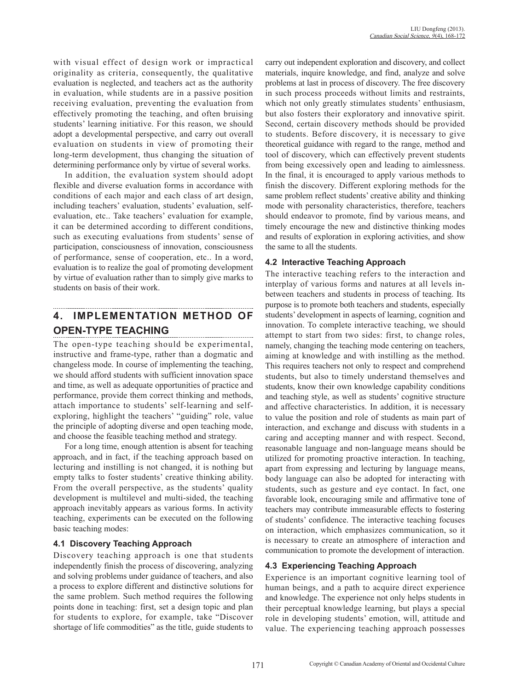with visual effect of design work or impractical originality as criteria, consequently, the qualitative evaluation is neglected, and teachers act as the authority in evaluation, while students are in a passive position receiving evaluation, preventing the evaluation from effectively promoting the teaching, and often bruising students' learning initiative. For this reason, we should adopt a developmental perspective, and carry out overall evaluation on students in view of promoting their long-term development, thus changing the situation of determining performance only by virtue of several works.

In addition, the evaluation system should adopt flexible and diverse evaluation forms in accordance with conditions of each major and each class of art design, including teachers' evaluation, students' evaluation, selfevaluation, etc.. Take teachers' evaluation for example, it can be determined according to different conditions, such as executing evaluations from students' sense of participation, consciousness of innovation, consciousness of performance, sense of cooperation, etc.. In a word, evaluation is to realize the goal of promoting development by virtue of evaluation rather than to simply give marks to students on basis of their work.

#### **4. IMPLEMENTATION METHOD OF OPEN-TYPE TEACHING**

The open-type teaching should be experimental, instructive and frame-type, rather than a dogmatic and changeless mode. In course of implementing the teaching, we should afford students with sufficient innovation space and time, as well as adequate opportunities of practice and performance, provide them correct thinking and methods, attach importance to students' self-learning and selfexploring, highlight the teachers' "guiding" role, value the principle of adopting diverse and open teaching mode, and choose the feasible teaching method and strategy.

For a long time, enough attention is absent for teaching approach, and in fact, if the teaching approach based on lecturing and instilling is not changed, it is nothing but empty talks to foster students' creative thinking ability. From the overall perspective, as the students' quality development is multilevel and multi-sided, the teaching approach inevitably appears as various forms. In activity teaching, experiments can be executed on the following basic teaching modes:

#### **4.1 Discovery Teaching Approach**

Discovery teaching approach is one that students independently finish the process of discovering, analyzing and solving problems under guidance of teachers, and also a process to explore different and distinctive solutions for the same problem. Such method requires the following points done in teaching: first, set a design topic and plan for students to explore, for example, take "Discover shortage of life commodities" as the title, guide students to

carry out independent exploration and discovery, and collect materials, inquire knowledge, and find, analyze and solve problems at last in process of discovery. The free discovery in such process proceeds without limits and restraints, which not only greatly stimulates students' enthusiasm, but also fosters their exploratory and innovative spirit. Second, certain discovery methods should be provided to students. Before discovery, it is necessary to give theoretical guidance with regard to the range, method and tool of discovery, which can effectively prevent students from being excessively open and leading to aimlessness. In the final, it is encouraged to apply various methods to finish the discovery. Different exploring methods for the same problem reflect students' creative ability and thinking mode with personality characteristics, therefore, teachers should endeavor to promote, find by various means, and timely encourage the new and distinctive thinking modes and results of exploration in exploring activities, and show the same to all the students.

### **4.2 Interactive Teaching Approach**

The interactive teaching refers to the interaction and interplay of various forms and natures at all levels inbetween teachers and students in process of teaching. Its purpose is to promote both teachers and students, especially students' development in aspects of learning, cognition and innovation. To complete interactive teaching, we should attempt to start from two sides: first, to change roles, namely, changing the teaching mode centering on teachers, aiming at knowledge and with instilling as the method. This requires teachers not only to respect and comprehend students, but also to timely understand themselves and students, know their own knowledge capability conditions and teaching style, as well as students' cognitive structure and affective characteristics. In addition, it is necessary to value the position and role of students as main part of interaction, and exchange and discuss with students in a caring and accepting manner and with respect. Second, reasonable language and non-language means should be utilized for promoting proactive interaction. In teaching, apart from expressing and lecturing by language means, body language can also be adopted for interacting with students, such as gesture and eye contact. In fact, one favorable look, encouraging smile and affirmative tone of teachers may contribute immeasurable effects to fostering of students' confidence. The interactive teaching focuses on interaction, which emphasizes communication, so it is necessary to create an atmosphere of interaction and communication to promote the development of interaction.

### **4.3 Experiencing Teaching Approach**

Experience is an important cognitive learning tool of human beings, and a path to acquire direct experience and knowledge. The experience not only helps students in their perceptual knowledge learning, but plays a special role in developing students' emotion, will, attitude and value. The experiencing teaching approach possesses